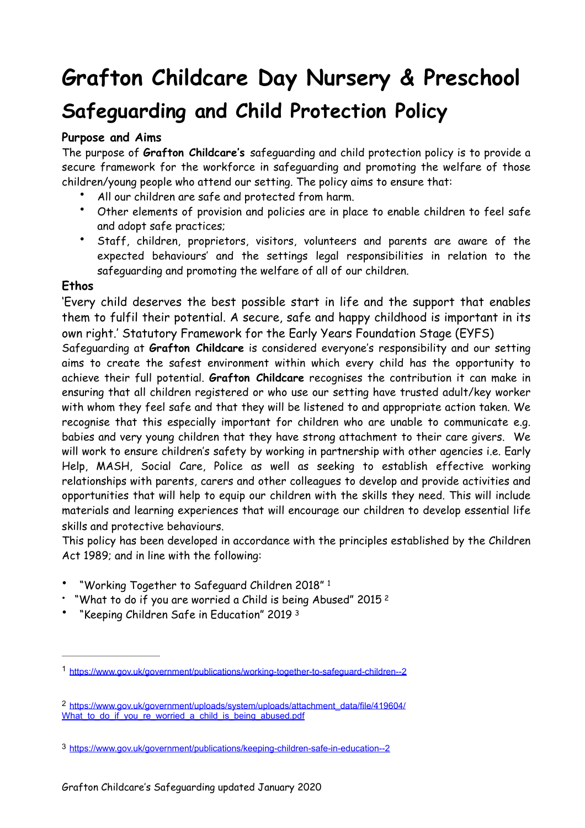# **Grafton Childcare Day Nursery & Preschool Safeguarding and Child Protection Policy**

# **Purpose and Aims**

The purpose of **Grafton Childcare's** safeguarding and child protection policy is to provide a secure framework for the workforce in safeguarding and promoting the welfare of those children/young people who attend our setting. The policy aims to ensure that:

- All our children are safe and protected from harm.
- Other elements of provision and policies are in place to enable children to feel safe and adopt safe practices;
- Staff, children, proprietors, visitors, volunteers and parents are aware of the expected behaviours' and the settings legal responsibilities in relation to the safeguarding and promoting the welfare of all of our children.

## **Ethos**

'Every child deserves the best possible start in life and the support that enables them to fulfil their potential. A secure, safe and happy childhood is important in its own right.' Statutory Framework for the Early Years Foundation Stage (EYFS)

Safeguarding at **Grafton Childcare** is considered everyone's responsibility and our setting aims to create the safest environment within which every child has the opportunity to achieve their full potential. **Grafton Childcare** recognises the contribution it can make in ensuring that all children registered or who use our setting have trusted adult/key worker with whom they feel safe and that they will be listened to and appropriate action taken. We recognise that this especially important for children who are unable to communicate e.g. babies and very young children that they have strong attachment to their care givers. We will work to ensure children's safety by working in partnership with other agencies i.e. Early Help, MASH, Social Care, Police as well as seeking to establish effective working relationships with parents, carers and other colleagues to develop and provide activities and opportunities that will help to equip our children with the skills they need. This will include materials and learning experiences that will encourage our children to develop essential life skills and protective behaviours.

This policy has been developed in accordance with the principles established by the Children Act 1989; and in line with the following:

- <span id="page-0-3"></span>• "Working Together to Safeguard Children 2018" [1](#page-0-0)
- <span id="page-0-4"></span><sup>"</sup>What to do if you are worried a Child is being Abused" [2](#page-0-1)015<sup>2</sup>
- <span id="page-0-5"></span>• "Keeping Children Safe in Education" 2019 [3](#page-0-2)

<span id="page-0-0"></span><https://www.gov.uk/government/publications/working-together-to-safeguard-children--2> [1](#page-0-3)

<span id="page-0-1"></span>[https://www.gov.uk/government/uploads/system/uploads/attachment\\_data/file/419604/](https://www.gov.uk/government/uploads/system/uploads/attachment_data/file/419604/What_to_do_if_you_re_worried_a_child_is_being_abused.pdf) [2](#page-0-4) What to do if you re worried a child is being abused.pdf

<span id="page-0-2"></span>[<sup>3</sup>](#page-0-5) <https://www.gov.uk/government/publications/keeping-children-safe-in-education--2>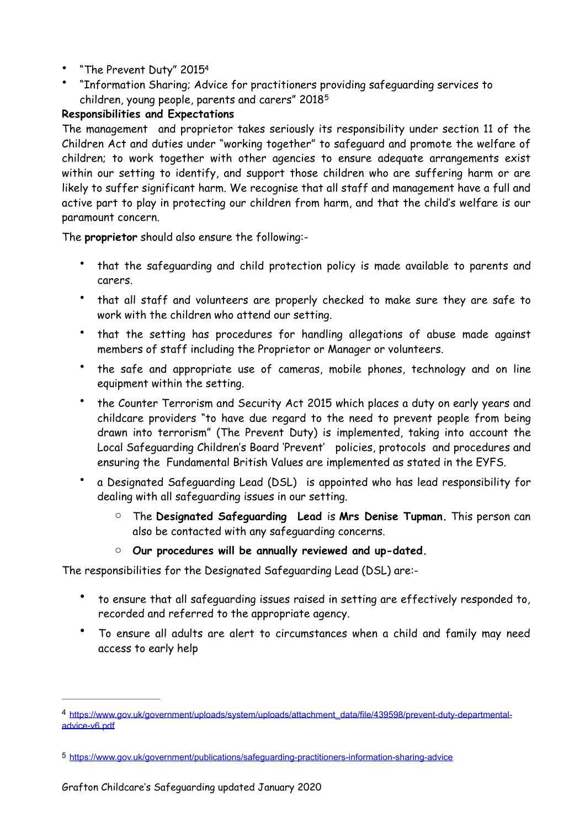- <span id="page-1-2"></span>• "The Prevent Duty" 201[54](#page-1-0)
- <span id="page-1-3"></span>• "Information Sharing; Advice for practitioners providing safeguarding services to children, young people, parents and carers" 2018[5](#page-1-1)

## **Responsibilities and Expectations**

The management and proprietor takes seriously its responsibility under section 11 of the Children Act and duties under "working together" to safeguard and promote the welfare of children; to work together with other agencies to ensure adequate arrangements exist within our setting to identify, and support those children who are suffering harm or are likely to suffer significant harm. We recognise that all staff and management have a full and active part to play in protecting our children from harm, and that the child's welfare is our paramount concern.

The **proprietor** should also ensure the following:-

- that the safeguarding and child protection policy is made available to parents and carers.
- that all staff and volunteers are properly checked to make sure they are safe to work with the children who attend our setting.
- that the setting has procedures for handling allegations of abuse made against members of staff including the Proprietor or Manager or volunteers.
- the safe and appropriate use of cameras, mobile phones, technology and on line equipment within the setting.
- the Counter Terrorism and Security Act 2015 which places a duty on early years and childcare providers "to have due regard to the need to prevent people from being drawn into terrorism" (The Prevent Duty) is implemented, taking into account the Local Safeguarding Children's Board 'Prevent' policies, protocols and procedures and ensuring the Fundamental British Values are implemented as stated in the EYFS.
- a Designated Safeguarding Lead (DSL) is appointed who has lead responsibility for dealing with all safeguarding issues in our setting.
	- o The **Designated Safeguarding Lead** is **Mrs Denise Tupman.** This person can also be contacted with any safeguarding concerns.
	- o **Our procedures will be annually reviewed and up-dated.**

The responsibilities for the Designated Safeguarding Lead (DSL) are:-

- to ensure that all safeguarding issues raised in setting are effectively responded to, recorded and referred to the appropriate agency.
- To ensure all adults are alert to circumstances when a child and family may need access to early help

<span id="page-1-0"></span>[https://www.gov.uk/government/uploads/system/uploads/attachment\\_data/file/439598/prevent-duty-departmental-](https://www.gov.uk/government/uploads/system/uploads/attachment_data/file/439598/prevent-duty-departmental-advice-v6.pdf) [4](#page-1-2) [advice-v6.pdf](https://www.gov.uk/government/uploads/system/uploads/attachment_data/file/439598/prevent-duty-departmental-advice-v6.pdf)

<span id="page-1-1"></span>[<sup>5</sup>](#page-1-3) <https://www.gov.uk/government/publications/safeguarding-practitioners-information-sharing-advice>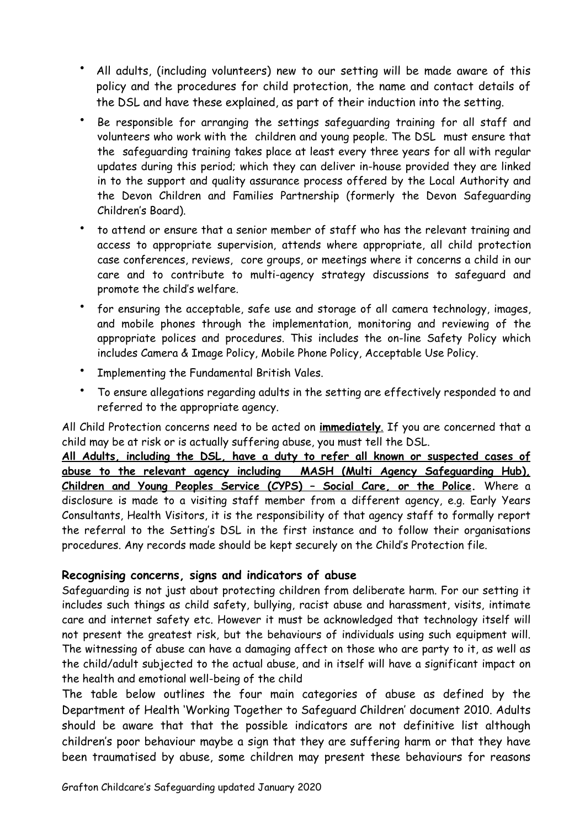- All adults, (including volunteers) new to our setting will be made aware of this policy and the procedures for child protection, the name and contact details of the DSL and have these explained, as part of their induction into the setting.
- Be responsible for arranging the settings safeguarding training for all staff and volunteers who work with the children and young people. The DSL must ensure that the safeguarding training takes place at least every three years for all with regular updates during this period; which they can deliver in-house provided they are linked in to the support and quality assurance process offered by the Local Authority and the Devon Children and Families Partnership (formerly the Devon Safeguarding Children's Board).
- to attend or ensure that a senior member of staff who has the relevant training and access to appropriate supervision, attends where appropriate, all child protection case conferences, reviews, core groups, or meetings where it concerns a child in our care and to contribute to multi-agency strategy discussions to safeguard and promote the child's welfare.
- for ensuring the acceptable, safe use and storage of all camera technology, images, and mobile phones through the implementation, monitoring and reviewing of the appropriate polices and procedures. This includes the on-line Safety Policy which includes Camera & Image Policy, Mobile Phone Policy, Acceptable Use Policy.
- Implementing the Fundamental British Vales.
- To ensure allegations regarding adults in the setting are effectively responded to and referred to the appropriate agency.

All Child Protection concerns need to be acted on **immediately**. If you are concerned that a child may be at risk or is actually suffering abuse, you must tell the DSL.

**All Adults, including the DSL, have a duty to refer all known or suspected cases of abuse to the relevant agency including MASH (Multi Agency Safeguarding Hub), Children and Young Peoples Service (CYPS) – Social Care, or the Police.** Where a disclosure is made to a visiting staff member from a different agency, e.g. Early Years Consultants, Health Visitors, it is the responsibility of that agency staff to formally report the referral to the Setting's DSL in the first instance and to follow their organisations procedures. Any records made should be kept securely on the Child's Protection file.

## **Recognising concerns, signs and indicators of abuse**

Safeguarding is not just about protecting children from deliberate harm. For our setting it includes such things as child safety, bullying, racist abuse and harassment, visits, intimate care and internet safety etc. However it must be acknowledged that technology itself will not present the greatest risk, but the behaviours of individuals using such equipment will. The witnessing of abuse can have a damaging affect on those who are party to it, as well as the child/adult subjected to the actual abuse, and in itself will have a significant impact on the health and emotional well-being of the child

The table below outlines the four main categories of abuse as defined by the Department of Health 'Working Together to Safeguard Children' document 2010. Adults should be aware that that the possible indicators are not definitive list although children's poor behaviour maybe a sign that they are suffering harm or that they have been traumatised by abuse, some children may present these behaviours for reasons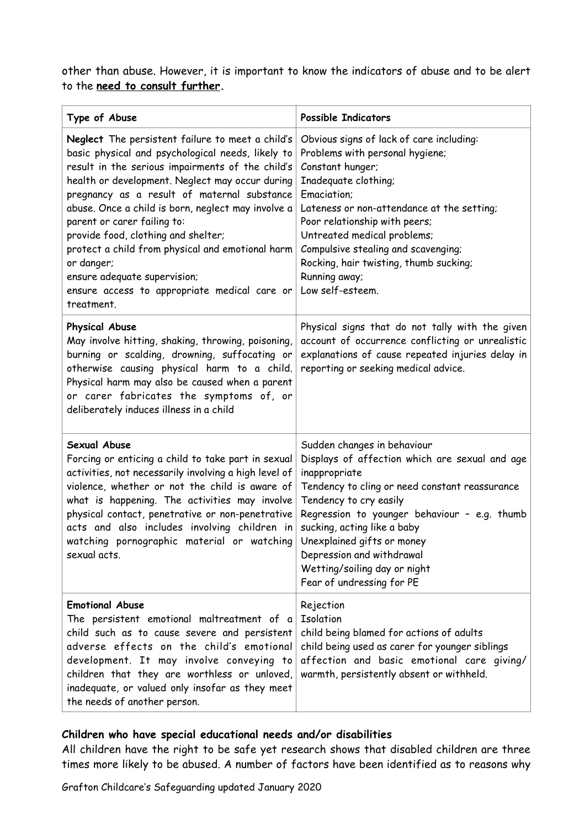other than abuse. However, it is important to know the indicators of abuse and to be alert to the **need to consult further.** 

| Type of Abuse                                                                                                                                                                                                                                                                                                                                                                                                                                                                                                                                           | <b>Possible Indicators</b>                                                                                                                                                                                                                                                                                                                                                        |
|---------------------------------------------------------------------------------------------------------------------------------------------------------------------------------------------------------------------------------------------------------------------------------------------------------------------------------------------------------------------------------------------------------------------------------------------------------------------------------------------------------------------------------------------------------|-----------------------------------------------------------------------------------------------------------------------------------------------------------------------------------------------------------------------------------------------------------------------------------------------------------------------------------------------------------------------------------|
| Neglect The persistent failure to meet a child's<br>basic physical and psychological needs, likely to<br>result in the serious impairments of the child's<br>health or development. Neglect may occur during<br>pregnancy as a result of maternal substance<br>abuse. Once a child is born, neglect may involve a<br>parent or carer failing to:<br>provide food, clothing and shelter;<br>protect a child from physical and emotional harm<br>or danger;<br>ensure adequate supervision;<br>ensure access to appropriate medical care or<br>treatment. | Obvious signs of lack of care including:<br>Problems with personal hygiene;<br>Constant hunger;<br>Inadequate clothing;<br>Emaciation;<br>Lateness or non-attendance at the setting;<br>Poor relationship with peers;<br>Untreated medical problems;<br>Compulsive stealing and scavenging;<br>Rocking, hair twisting, thumb sucking;<br>Running away;<br>Low self-esteem.        |
| <b>Physical Abuse</b><br>May involve hitting, shaking, throwing, poisoning,<br>burning or scalding, drowning, suffocating or<br>otherwise causing physical harm to a child.<br>Physical harm may also be caused when a parent<br>or carer fabricates the symptoms of, or<br>deliberately induces illness in a child                                                                                                                                                                                                                                     | Physical signs that do not tally with the given<br>account of occurrence conflicting or unrealistic<br>explanations of cause repeated injuries delay in<br>reporting or seeking medical advice.                                                                                                                                                                                   |
| Sexual Abuse<br>Forcing or enticing a child to take part in sexual<br>activities, not necessarily involving a high level of<br>violence, whether or not the child is aware of<br>what is happening. The activities may involve<br>physical contact, penetrative or non-penetrative<br>acts and also includes involving children in<br>watching pornographic material or watching<br>sexual acts.                                                                                                                                                        | Sudden changes in behaviour<br>Displays of affection which are sexual and age<br>inappropriate<br>Tendency to cling or need constant reassurance<br>Tendency to cry easily<br>Regression to younger behaviour - e.g. thumb<br>sucking, acting like a baby<br>Unexplained gifts or money<br>Depression and withdrawal<br>Wetting/soiling day or night<br>Fear of undressing for PE |
| <b>Emotional Abuse</b><br>The persistent emotional maltreatment of a<br>child such as to cause severe and persistent<br>adverse effects on the child's emotional<br>development. It may involve conveying to<br>children that they are worthless or unloved,<br>inadequate, or valued only insofar as they meet<br>the needs of another person.                                                                                                                                                                                                         | Rejection<br><b>Isolation</b><br>child being blamed for actions of adults<br>child being used as carer for younger siblings<br>affection and basic emotional care giving/<br>warmth, persistently absent or withheld.                                                                                                                                                             |

#### **Children who have special educational needs and/or disabilities**

All children have the right to be safe yet research shows that disabled children are three times more likely to be abused. A number of factors have been identified as to reasons why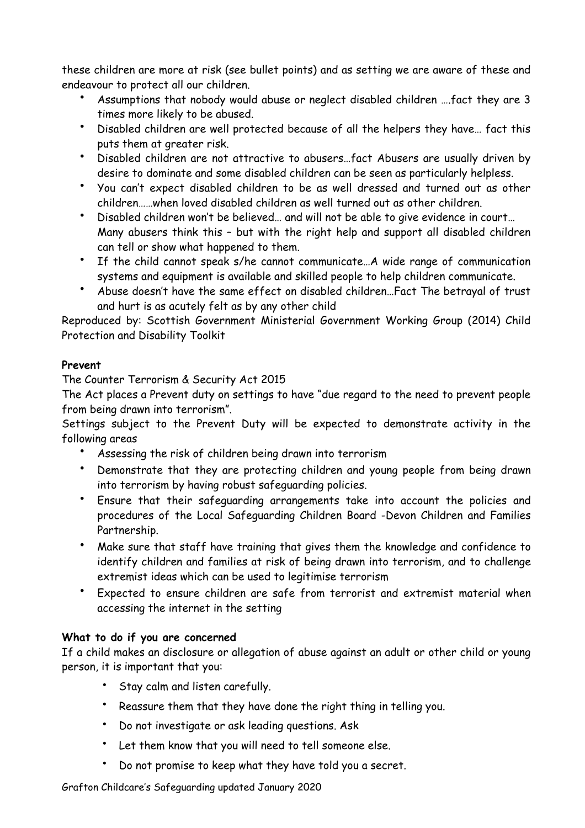these children are more at risk (see bullet points) and as setting we are aware of these and endeavour to protect all our children.

- Assumptions that nobody would abuse or neglect disabled children ….fact they are 3 times more likely to be abused.
- Disabled children are well protected because of all the helpers they have… fact this puts them at greater risk.
- Disabled children are not attractive to abusers…fact Abusers are usually driven by desire to dominate and some disabled children can be seen as particularly helpless.
- You can't expect disabled children to be as well dressed and turned out as other children……when loved disabled children as well turned out as other children.
- Disabled children won't be believed… and will not be able to give evidence in court… Many abusers think this – but with the right help and support all disabled children can tell or show what happened to them.
- If the child cannot speak s/he cannot communicate…A wide range of communication systems and equipment is available and skilled people to help children communicate.
- Abuse doesn't have the same effect on disabled children…Fact The betrayal of trust and hurt is as acutely felt as by any other child

Reproduced by: Scottish Government Ministerial Government Working Group (2014) Child Protection and Disability Toolkit

# **Prevent**

The Counter Terrorism & Security Act 2015

The Act places a Prevent duty on settings to have "due regard to the need to prevent people from being drawn into terrorism".

Settings subject to the Prevent Duty will be expected to demonstrate activity in the following areas

- Assessing the risk of children being drawn into terrorism
- Demonstrate that they are protecting children and young people from being drawn into terrorism by having robust safeguarding policies.
- Ensure that their safeguarding arrangements take into account the policies and procedures of the Local Safeguarding Children Board -Devon Children and Families Partnership.
- Make sure that staff have training that gives them the knowledge and confidence to identify children and families at risk of being drawn into terrorism, and to challenge extremist ideas which can be used to legitimise terrorism
- Expected to ensure children are safe from terrorist and extremist material when accessing the internet in the setting

# **What to do if you are concerned**

If a child makes an disclosure or allegation of abuse against an adult or other child or young person, it is important that you:

- Stay calm and listen carefully.
- Reassure them that they have done the right thing in telling you.
- Do not investigate or ask leading questions. Ask
- Let them know that you will need to tell someone else.
- Do not promise to keep what they have told you a secret.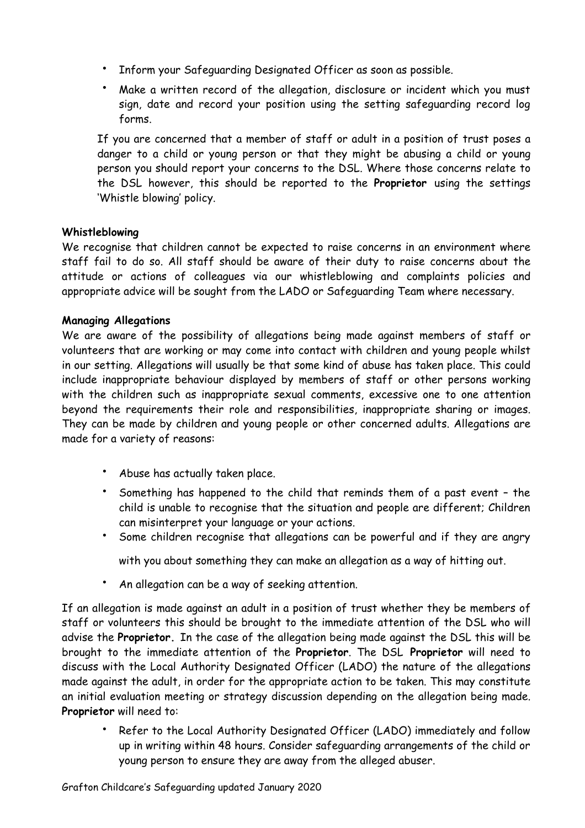- Inform your Safeguarding Designated Officer as soon as possible.
- Make a written record of the allegation, disclosure or incident which you must sign, date and record your position using the setting safeguarding record log forms.

If you are concerned that a member of staff or adult in a position of trust poses a danger to a child or young person or that they might be abusing a child or young person you should report your concerns to the DSL. Where those concerns relate to the DSL however, this should be reported to the **Proprietor** using the settings 'Whistle blowing' policy.

#### **Whistleblowing**

We recognise that children cannot be expected to raise concerns in an environment where staff fail to do so. All staff should be aware of their duty to raise concerns about the attitude or actions of colleagues via our whistleblowing and complaints policies and appropriate advice will be sought from the LADO or Safeguarding Team where necessary.

### **Managing Allegations**

We are aware of the possibility of allegations being made against members of staff or volunteers that are working or may come into contact with children and young people whilst in our setting. Allegations will usually be that some kind of abuse has taken place. This could include inappropriate behaviour displayed by members of staff or other persons working with the children such as inappropriate sexual comments, excessive one to one attention beyond the requirements their role and responsibilities, inappropriate sharing or images. They can be made by children and young people or other concerned adults. Allegations are made for a variety of reasons:

- Abuse has actually taken place.
- Something has happened to the child that reminds them of a past event the child is unable to recognise that the situation and people are different; Children can misinterpret your language or your actions.
- Some children recognise that allegations can be powerful and if they are angry with you about something they can make an allegation as a way of hitting out.
- An allegation can be a way of seeking attention.

If an allegation is made against an adult in a position of trust whether they be members of staff or volunteers this should be brought to the immediate attention of the DSL who will advise the **Proprietor.** In the case of the allegation being made against the DSL this will be brought to the immediate attention of the **Proprietor**. The DSL **Proprietor** will need to discuss with the Local Authority Designated Officer (LADO) the nature of the allegations made against the adult, in order for the appropriate action to be taken. This may constitute an initial evaluation meeting or strategy discussion depending on the allegation being made. **Proprietor** will need to:

• Refer to the Local Authority Designated Officer (LADO) immediately and follow up in writing within 48 hours. Consider safeguarding arrangements of the child or young person to ensure they are away from the alleged abuser.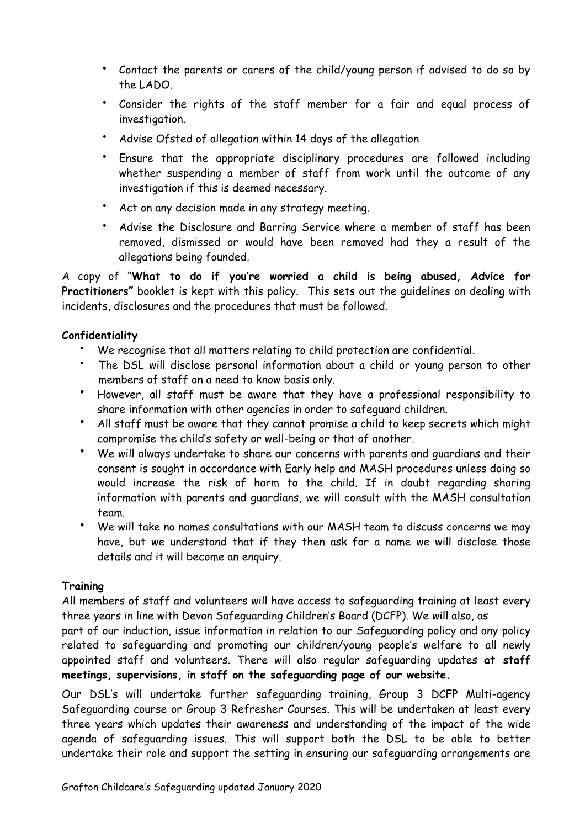- Contact the parents or carers of the child/young person if advised to do so by the LADO.
- Consider the rights of the staff member for a fair and equal process of investigation.
- Advise Ofsted of allegation within 14 days of the allegation
- Ensure that the appropriate disciplinary procedures are followed including whether suspending a member of staff from work until the outcome of any investigation if this is deemed necessary.
- Act on any decision made in any strategy meeting.
- Advise the Disclosure and Barring Service where a member of staff has been removed, dismissed or would have been removed had they a result of the allegations being founded.

A copy of "**What to do if you're worried a child is being abused, Advice for Practitioners"** booklet is kept with this policy. This sets out the guidelines on dealing with incidents, disclosures and the procedures that must be followed.

### **Confidentiality**

- We recognise that all matters relating to child protection are confidential.
- The DSL will disclose personal information about a child or young person to other members of staff on a need to know basis only.
- However, all staff must be aware that they have a professional responsibility to share information with other agencies in order to safeguard children.
- All staff must be aware that they cannot promise a child to keep secrets which might compromise the child's safety or well-being or that of another.
- We will always undertake to share our concerns with parents and guardians and their consent is sought in accordance with Early help and MASH procedures unless doing so would increase the risk of harm to the child. If in doubt regarding sharing information with parents and guardians, we will consult with the MASH consultation team.
- We will take no names consultations with our MASH team to discuss concerns we may have, but we understand that if they then ask for a name we will disclose those details and it will become an enquiry.

#### **Training**

All members of staff and volunteers will have access to safeguarding training at least every three years in line with Devon Safeguarding Children's Board (DCFP). We will also, as

part of our induction, issue information in relation to our Safeguarding policy and any policy related to safeguarding and promoting our children/young people's welfare to all newly appointed staff and volunteers. There will also regular safeguarding updates **at staff meetings, supervisions, in staff on the safeguarding page of our website.** 

Our DSL's will undertake further safeguarding training, Group 3 DCFP Multi-agency Safeguarding course or Group 3 Refresher Courses. This will be undertaken at least every three years which updates their awareness and understanding of the impact of the wide agenda of safeguarding issues. This will support both the DSL to be able to better undertake their role and support the setting in ensuring our safeguarding arrangements are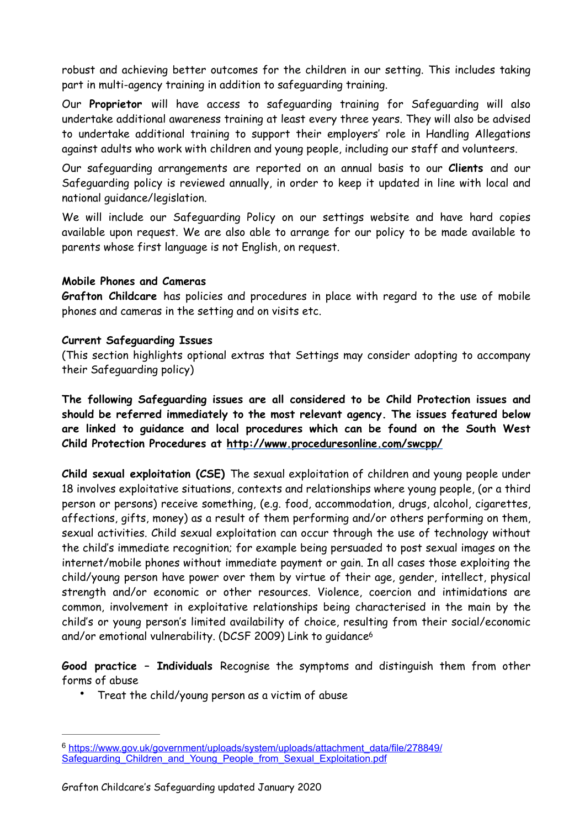robust and achieving better outcomes for the children in our setting. This includes taking part in multi-agency training in addition to safeguarding training.

Our **Proprietor** will have access to safeguarding training for Safeguarding will also undertake additional awareness training at least every three years. They will also be advised to undertake additional training to support their employers' role in Handling Allegations against adults who work with children and young people, including our staff and volunteers.

Our safeguarding arrangements are reported on an annual basis to our **Clients** and our Safeguarding policy is reviewed annually, in order to keep it updated in line with local and national guidance/legislation.

We will include our Safeguarding Policy on our settings website and have hard copies available upon request. We are also able to arrange for our policy to be made available to parents whose first language is not English, on request.

#### **Mobile Phones and Cameras**

**Grafton Childcare** has policies and procedures in place with regard to the use of mobile phones and cameras in the setting and on visits etc.

#### **Current Safeguarding Issues**

(This section highlights optional extras that Settings may consider adopting to accompany their Safeguarding policy)

**The following Safeguarding issues are all considered to be Child Protection issues and should be referred immediately to the most relevant agency. The issues featured below are linked to guidance and local procedures which can be found on the South West Child Protection Procedures at http://www.proceduresonline.com/swcpp/** 

**Child sexual exploitation (CSE)** The sexual exploitation of children and young people under 18 involves exploitative situations, contexts and relationships where young people, (or a third person or persons) receive something, (e.g. food, accommodation, drugs, alcohol, cigarettes, affections, gifts, money) as a result of them performing and/or others performing on them, sexual activities. Child sexual exploitation can occur through the use of technology without the child's immediate recognition; for example being persuaded to post sexual images on the internet/mobile phones without immediate payment or gain. In all cases those exploiting the child/young person have power over them by virtue of their age, gender, intellect, physical strength and/or economic or other resources. Violence, coercion and intimidations are common, involvement in exploitative relationships being characterised in the main by the child's or young person's limited availability of choice, resulting from their social/economic and/or emotional vulnerability. (DCSF 2009) Link to guidanc[e6](#page-7-0)

**Good practice – Individuals** Recognise the symptoms and distinguish them from other forms of abuse

<span id="page-7-1"></span>Treat the child/young person as a victim of abuse

<span id="page-7-0"></span><sup>6</sup> [https://www.gov.uk/government/uploads/system/uploads/attachment\\_data/file/278849/](https://www.gov.uk/government/uploads/system/uploads/attachment_data/file/278849/Safeguarding_Children_and_Young_People_from_Sexual_Exploitation.pdf) Safeguarding Children and Young People from Sexual Exploitation.pdf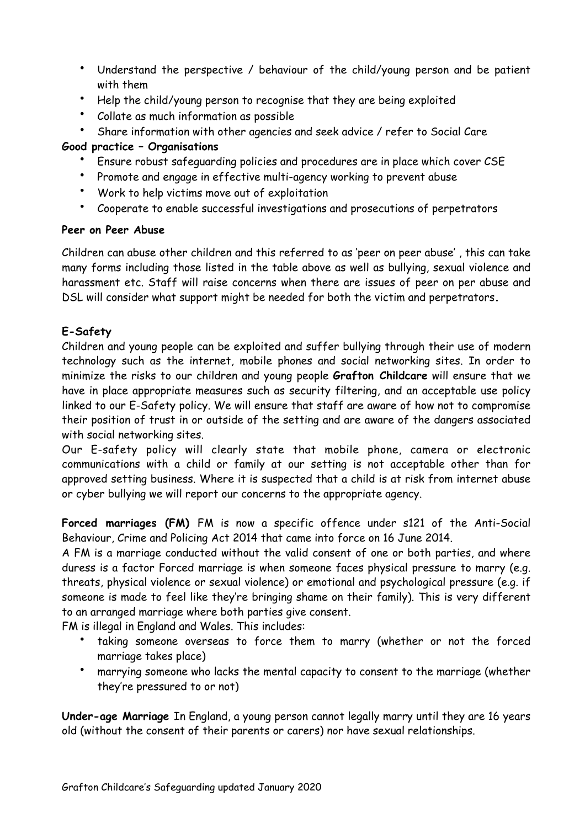- Understand the perspective / behaviour of the child/young person and be patient with them
- Help the child/young person to recognise that they are being exploited
- Collate as much information as possible
- Share information with other agencies and seek advice / refer to Social Care

## **Good practice – Organisations**

- Ensure robust safeguarding policies and procedures are in place which cover CSE
- Promote and engage in effective multi-agency working to prevent abuse
- Work to help victims move out of exploitation
- Cooperate to enable successful investigations and prosecutions of perpetrators

## **Peer on Peer Abuse**

Children can abuse other children and this referred to as 'peer on peer abuse' , this can take many forms including those listed in the table above as well as bullying, sexual violence and harassment etc. Staff will raise concerns when there are issues of peer on per abuse and DSL will consider what support might be needed for both the victim and perpetrators**.** 

# **E-Safety**

Children and young people can be exploited and suffer bullying through their use of modern technology such as the internet, mobile phones and social networking sites. In order to minimize the risks to our children and young people **Grafton Childcare** will ensure that we have in place appropriate measures such as security filtering, and an acceptable use policy linked to our E-Safety policy. We will ensure that staff are aware of how not to compromise their position of trust in or outside of the setting and are aware of the dangers associated with social networking sites.

Our E-safety policy will clearly state that mobile phone, camera or electronic communications with a child or family at our setting is not acceptable other than for approved setting business. Where it is suspected that a child is at risk from internet abuse or cyber bullying we will report our concerns to the appropriate agency.

**Forced marriages (FM)** FM is now a specific offence under s121 of the Anti-Social Behaviour, Crime and Policing Act 2014 that came into force on 16 June 2014.

A FM is a marriage conducted without the valid consent of one or both parties, and where duress is a factor Forced marriage is when someone faces physical pressure to marry (e.g. threats, physical violence or sexual violence) or emotional and psychological pressure (e.g. if someone is made to feel like they're bringing shame on their family). This is very different to an arranged marriage where both parties give consent.

FM is illegal in England and Wales. This includes:

- taking someone overseas to force them to marry (whether or not the forced marriage takes place)
- marrying someone who lacks the mental capacity to consent to the marriage (whether they're pressured to or not)

**Under-age Marriage** In England, a young person cannot legally marry until they are 16 years old (without the consent of their parents or carers) nor have sexual relationships.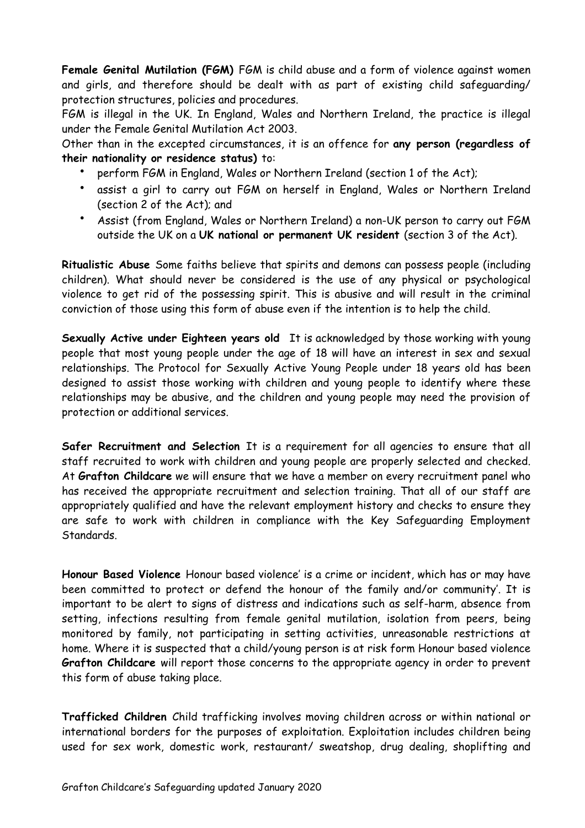**Female Genital Mutilation (FGM)** FGM is child abuse and a form of violence against women and girls, and therefore should be dealt with as part of existing child safeguarding/ protection structures, policies and procedures.

FGM is illegal in the UK. In England, Wales and Northern Ireland, the practice is illegal under the Female Genital Mutilation Act 2003.

Other than in the excepted circumstances, it is an offence for **any person (regardless of their nationality or residence status)** to:

- perform FGM in England, Wales or Northern Ireland (section 1 of the Act);
- assist a girl to carry out FGM on herself in England, Wales or Northern Ireland (section 2 of the Act); and
- Assist (from England, Wales or Northern Ireland) a non-UK person to carry out FGM outside the UK on a **UK national or permanent UK resident** (section 3 of the Act).

**Ritualistic Abuse** Some faiths believe that spirits and demons can possess people (including children). What should never be considered is the use of any physical or psychological violence to get rid of the possessing spirit. This is abusive and will result in the criminal conviction of those using this form of abuse even if the intention is to help the child.

**Sexually Active under Eighteen years old** It is acknowledged by those working with young people that most young people under the age of 18 will have an interest in sex and sexual relationships. The Protocol for Sexually Active Young People under 18 years old has been designed to assist those working with children and young people to identify where these relationships may be abusive, and the children and young people may need the provision of protection or additional services.

**Safer Recruitment and Selection** It is a requirement for all agencies to ensure that all staff recruited to work with children and young people are properly selected and checked. At **Grafton Childcare** we will ensure that we have a member on every recruitment panel who has received the appropriate recruitment and selection training. That all of our staff are appropriately qualified and have the relevant employment history and checks to ensure they are safe to work with children in compliance with the Key Safeguarding Employment Standards.

**Honour Based Violence** Honour based violence' is a crime or incident, which has or may have been committed to protect or defend the honour of the family and/or community'. It is important to be alert to signs of distress and indications such as self-harm, absence from setting, infections resulting from female genital mutilation, isolation from peers, being monitored by family, not participating in setting activities, unreasonable restrictions at home. Where it is suspected that a child/young person is at risk form Honour based violence **Grafton Childcare** will report those concerns to the appropriate agency in order to prevent this form of abuse taking place.

**Trafficked Children** Child trafficking involves moving children across or within national or international borders for the purposes of exploitation. Exploitation includes children being used for sex work, domestic work, restaurant/ sweatshop, drug dealing, shoplifting and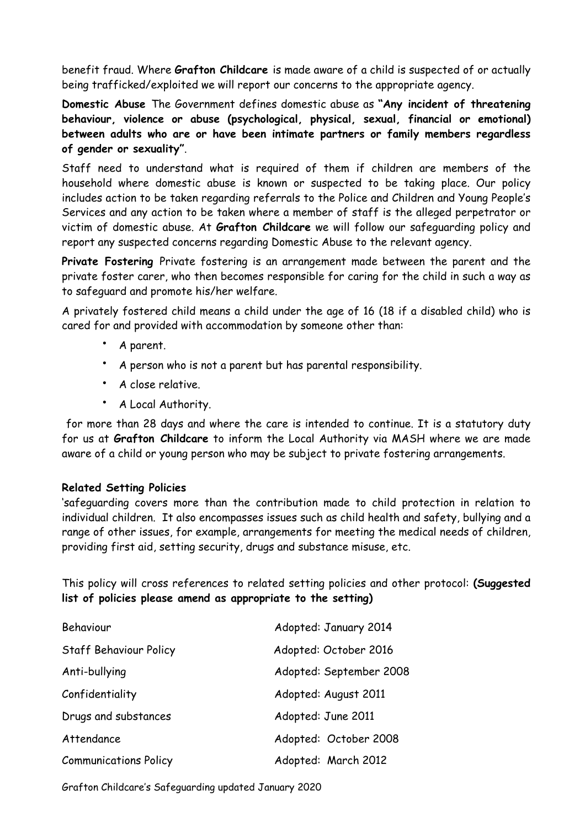benefit fraud. Where **Grafton Childcare** is made aware of a child is suspected of or actually being trafficked/exploited we will report our concerns to the appropriate agency.

**Domestic Abuse** The Government defines domestic abuse as **"Any incident of threatening behaviour, violence or abuse (psychological, physical, sexual, financial or emotional) between adults who are or have been intimate partners or family members regardless of gender or sexuality"**.

Staff need to understand what is required of them if children are members of the household where domestic abuse is known or suspected to be taking place. Our policy includes action to be taken regarding referrals to the Police and Children and Young People's Services and any action to be taken where a member of staff is the alleged perpetrator or victim of domestic abuse. At **Grafton Childcare** we will follow our safeguarding policy and report any suspected concerns regarding Domestic Abuse to the relevant agency.

**Private Fostering** Private fostering is an arrangement made between the parent and the private foster carer, who then becomes responsible for caring for the child in such a way as to safeguard and promote his/her welfare.

A privately fostered child means a child under the age of 16 (18 if a disabled child) who is cared for and provided with accommodation by someone other than:

- A parent.
- A person who is not a parent but has parental responsibility.
- A close relative.
- A Local Authority.

for more than 28 days and where the care is intended to continue. It is a statutory duty for us at **Grafton Childcare** to inform the Local Authority via MASH where we are made aware of a child or young person who may be subject to private fostering arrangements.

#### **Related Setting Policies**

'safeguarding covers more than the contribution made to child protection in relation to individual children. It also encompasses issues such as child health and safety, bullying and a range of other issues, for example, arrangements for meeting the medical needs of children, providing first aid, setting security, drugs and substance misuse, etc.

This policy will cross references to related setting policies and other protocol: **(Suggested list of policies please amend as appropriate to the setting)** 

| Behaviour                    | Adopted: January 2014   |
|------------------------------|-------------------------|
| Staff Behaviour Policy       | Adopted: October 2016   |
| Anti-bullying                | Adopted: September 2008 |
| Confidentiality              | Adopted: August 2011    |
| Drugs and substances         | Adopted: June 2011      |
| Attendance                   | Adopted: October 2008   |
| <b>Communications Policy</b> | Adopted: March 2012     |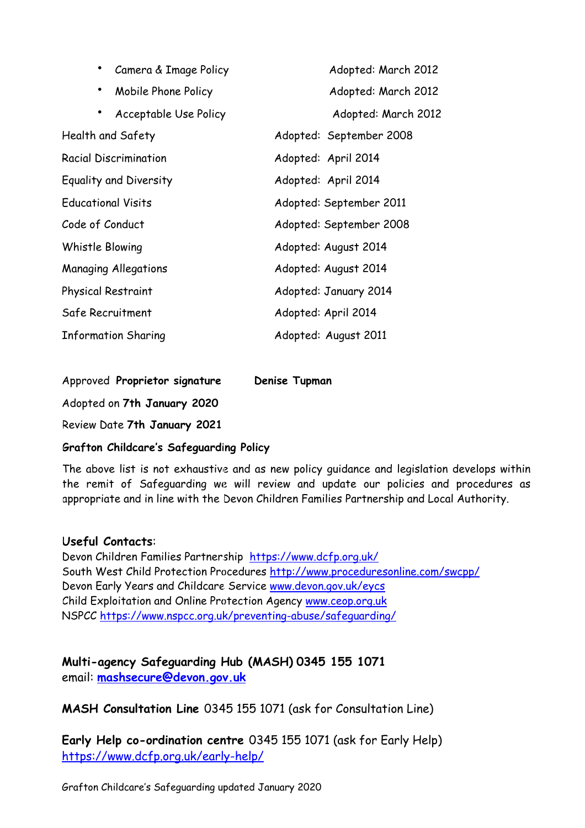| Camera & Image Policy              | Adopted: March 2012     |
|------------------------------------|-------------------------|
| $\bullet$<br>Mobile Phone Policy   | Adopted: March 2012     |
| Acceptable Use Policy<br>$\bullet$ | Adopted: March 2012     |
| Health and Safety                  | Adopted: September 2008 |
| <b>Racial Discrimination</b>       | Adopted: April 2014     |
| Equality and Diversity             | Adopted: April 2014     |
| <b>Educational Visits</b>          | Adopted: September 2011 |
| Code of Conduct                    | Adopted: September 2008 |
| Whistle Blowing                    | Adopted: August 2014    |
| <b>Managing Allegations</b>        | Adopted: August 2014    |
| Physical Restraint                 | Adopted: January 2014   |
| Safe Recruitment                   | Adopted: April 2014     |
| <b>Information Sharing</b>         | Adopted: August 2011    |

Approved **Proprietor signature Denise Tupman**

Adopted on **7th January 2020** 

Review Date **7th January 2021** 

## **Grafton Childcare's Safeguarding Policy**

The above list is not exhaustive and as new policy guidance and legislation develops within the remit of Safeguarding we will review and update our policies and procedures as appropriate and in line with the Devon Children Families Partnership and Local Authority.

#### **Useful Contacts**:

Devon Children Families Partnership <https://www.dcfp.org.uk/> South West Child Protection Procedures<http://www.proceduresonline.com/swcpp/> Devon Early Years and Childcare Service [www.devon.gov.uk/eycs](http://www.devon.gov.uk/eycs)  Child Exploitation and Online Protection Agency [www.ceop.org.uk](http://www.ceop.org.uk) NSPCC <https://www.nspcc.org.uk/preventing-abuse/safeguarding/>

# **Multi-agency Safeguarding Hub (MASH) 0345 155 1071** email: **[mashsecure@devon.gov.uk](mailto:mashsecure@devon.gov.uk)**

**MASH Consultation Line** 0345 155 1071 (ask for Consultation Line)

**Early Help co-ordination centre** 0345 155 1071 (ask for Early Help) <https://www.dcfp.org.uk/early-help/>